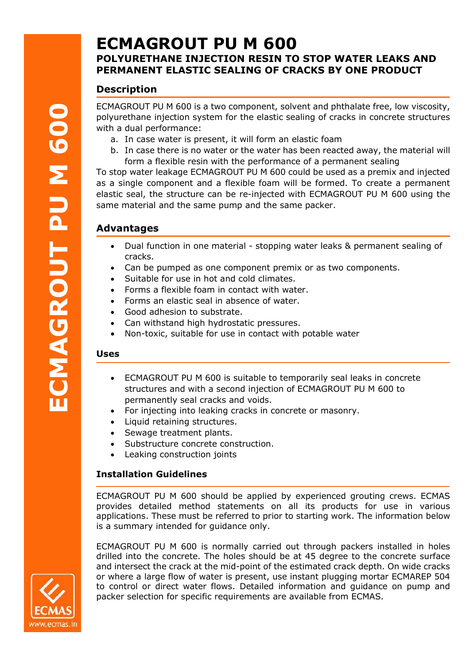# **ECMAGROUT PU M 600 POLYURETHANE INJECTION RESIN TO STOP WATER LEAKS AND PERMANENT ELASTIC SEALING OF CRACKS BY ONE PRODUCT**

# **Description**

ECMAGROUT PU M 600 is a two component, solvent and phthalate free, low viscosity, polyurethane injection system for the elastic sealing of cracks in concrete structures with a dual performance:

- a. In case water is present, it will form an elastic foam
- b. In case there is no water or the water has been reacted away, the material will form a flexible resin with the performance of a permanent sealing

To stop water leakage ECMAGROUT PU M 600 could be used as a premix and injected as a single component and a flexible foam will be formed. To create a permanent elastic seal, the structure can be re-injected with ECMAGROUT PU M 600 using the same material and the same pump and the same packer.

# **Advantages**

- Dual function in one material stopping water leaks & permanent sealing of cracks.
- Can be pumped as one component premix or as two components.
- Suitable for use in hot and cold climates.
- Forms a flexible foam in contact with water.
- Forms an elastic seal in absence of water.
- Good adhesion to substrate.
- Can withstand high hydrostatic pressures.
- Non-toxic, suitable for use in contact with potable water

#### **Uses**

- ECMAGROUT PU M 600 is suitable to temporarily seal leaks in concrete structures and with a second injection of ECMAGROUT PU M 600 to permanently seal cracks and voids.
- For injecting into leaking cracks in concrete or masonry.
- Liquid retaining structures.
- Sewage treatment plants.
- Substructure concrete construction.
- Leaking construction joints

# **Installation Guidelines**

ECMAGROUT PU M 600 should be applied by experienced grouting crews. ECMAS provides detailed method statements on all its products for use in various applications. These must be referred to prior to starting work. The information below is a summary intended for guidance only.

ECMAGROUT PU M 600 is normally carried out through packers installed in holes drilled into the concrete. The holes should be at 45 degree to the concrete surface and intersect the crack at the mid-point of the estimated crack depth. On wide cracks or where a large flow of water is present, use instant plugging mortar ECMAREP 504 to control or direct water flows. Detailed information and guidance on pump and packer selection for specific requirements are available from ECMAS.

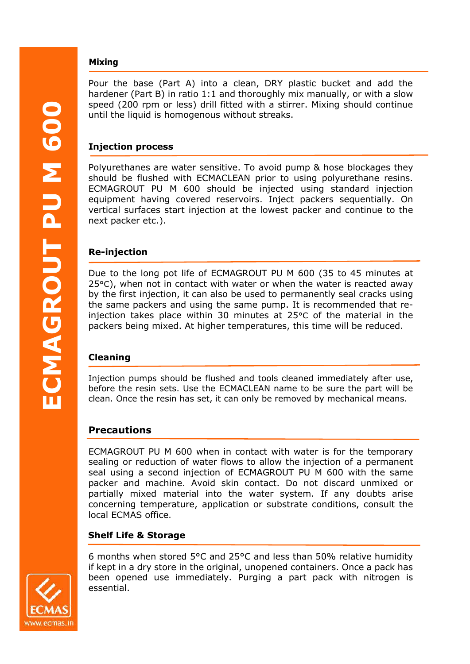### **Mixing**

Pour the base (Part A) into a clean, DRY plastic bucket and add the hardener (Part B) in ratio 1:1 and thoroughly mix manually, or with a slow speed (200 rpm or less) drill fitted with a stirrer. Mixing should continue until the liquid is homogenous without streaks.

#### **Injection process**

Polyurethanes are water sensitive. To avoid pump & hose blockages they should be flushed with ECMACLEAN prior to using polyurethane resins. ECMAGROUT PU M 600 should be injected using standard injection equipment having covered reservoirs. Inject packers sequentially. On vertical surfaces start injection at the lowest packer and continue to the next packer etc.).

#### **Re-injection**

Due to the long pot life of ECMAGROUT PU M 600 (35 to 45 minutes at 25°C), when not in contact with water or when the water is reacted away by the first injection, it can also be used to permanently seal cracks using the same packers and using the same pump. It is recommended that reinjection takes place within 30 minutes at 25°C of the material in the packers being mixed. At higher temperatures, this time will be reduced.

# **Cleaning**

Injection pumps should be flushed and tools cleaned immediately after use, before the resin sets. Use the ECMACLEAN name to be sure the part will be clean. Once the resin has set, it can only be removed by mechanical means.

# **Precautions**

ECMAGROUT PU M 600 when in contact with water is for the temporary sealing or reduction of water flows to allow the injection of a permanent seal using a second injection of ECMAGROUT PU M 600 with the same packer and machine. Avoid skin contact. Do not discard unmixed or partially mixed material into the water system. If any doubts arise concerning temperature, application or substrate conditions, consult the local ECMAS office.

# **Shelf Life & Storage**

6 months when stored 5°C and 25°C and less than 50% relative humidity if kept in a dry store in the original, unopened containers. Once a pack has been opened use immediately. Purging a part pack with nitrogen is essential.